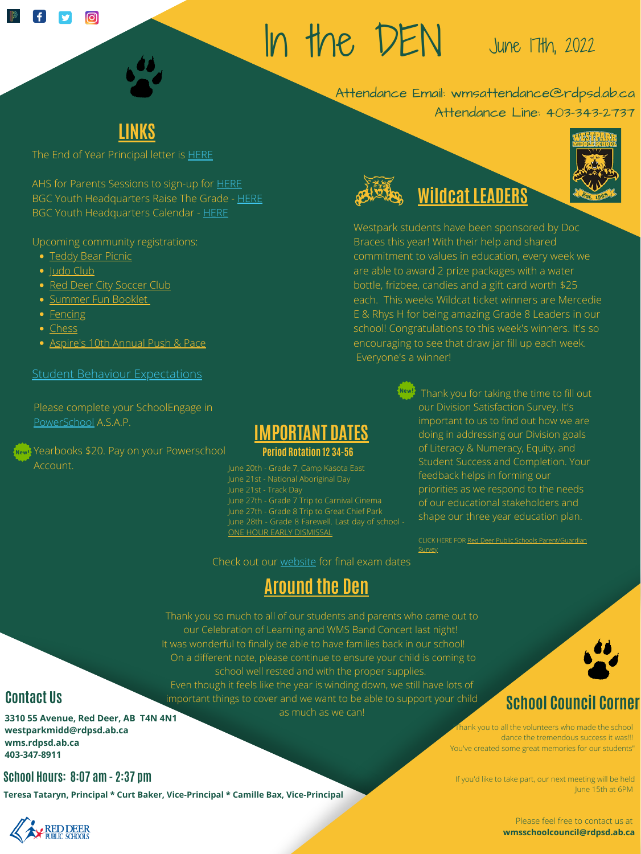AHS for Parents Sessions to sign-up for [HERE](https://docs.google.com/document/d/1pjaG4BrIS8NPNcvnpweoAIQSpF0JYm6hJxVxIvl2nTs/edit?usp=sharing) BGC Youth Headquarters Raise The Grade - [HERE](https://drive.google.com/file/d/1ddUMBoPSTwos-LXygOnCPFKJE9ZDaAUD/view?usp=sharing) BGC Youth Headquarters Calendar - [HERE](https://drive.google.com/file/d/1TW_xtrb-EQNHAOzyD9RHAep8d_gqPHkq/view?usp=sharing)

Upcoming community registrations:

- **•** [Teddy Bear Picnic](https://docs.google.com/document/d/1K34gW3AGnGd3BZwn-6xzaAiW9LVKq5eQ6lWVvORLbkM/edit)
- · [Judo Club](https://drive.google.com/file/d/1bHvgDEonu-H2zn4Q5HmX4x8-3o6QWMkH/view?usp=sharing)
- [Red Deer City Soccer Club](https://drive.google.com/file/d/13otzdlpXIJOpEG1Y9QB-7gG7I5EMdnjf/view?usp=sharing)
- [Summer Fun Booklet](https://drive.google.com/file/d/1tpj4Dt2VOsOmn7437p4Sw87oTn2xAbWU/view?usp=sharing)
- [Fencing](https://mail-attachment.googleusercontent.com/attachment/u/0/?ui=2&ik=011d3fb318&attid=0.1&permmsgid=msg-f:1732099145875676605&th=1809a6ff01ad5dbd&view=att&disp=inline&saddbat=ANGjdJ9biRP8BTfW9YJD58k_ARZh85es9mXFeQE_Vuy0OHUjElYu2sTNJsc7HIS0KyBEMwUHiQtgnrciM6JCPsai2kMLVn0UDWEpEOr4MRMXgFv8c0hqV7i_RyWBBRnwjZP8pnwNgGziGQ2mREEkzUD2tUtA0C687sbLIHX0bz526BEtgtQbY1mTS0DM862xUcJcVaGCeJVFHdxoEH9QmbRHVOcoIWvhSvMjnZ91bjDp9k_X02dapM7cLy1__8tDR8yud6-6CMyPFqWcRGNGYnEJyCn75gY6dmYqqwjIEa4iUjx99jpYoDeWgK339-GUqugf4_DfHnakET2zjC9UamoXgPlccahz8q69rNMUmDK0h4AH8Cf7w8prCUkWfqK4uG_b7sRXckl8_GxPn7sZNCjaOhkhG-vC-4QpVm8bTqxe5tRuQT9Aw9_-4-vDUX8XEzHk0XEKkHPDhs-3IVX7EOVzIlWkKR9pvyIQbEoV-T-F6OYSTkGYC2KiRYX9McHYtJ-CqfrjTDL_j9cMw4BnXn3WMzk9WHFUa7pqYqRSlJtZ6n0aGnZWNCJFRtd2jZXTlKvFuuxOwGPEzaTJpp_96WNS8WTsjSkqdYiRDYWTC-Ol0vUm4_tUgZQd2zMNKwddtWZgkmgPwseRqPqlw85kUYPzJ9MmeG94EvDR-gDPjVa4JdubTdY--lrJO-QnJ9z9BeMaqzMAmT9um4QHFOiEWBv6JLcU_ygas08OZZBFaWQszbV6u5ypwVK-nMYna7c)
- [Chess](https://rdpsdstorage.blob.core.windows.net/media/Default/medialib/doc050622-1.45f0c587486.pdf)
- [Aspire's 10th Annual Push & Pace](https://drive.google.com/file/d/1TwIh229d9eNITvx7KDteggIBS_ictAgP/view?usp=sharing)

#### **[Student Behaviour Expectations](https://rdpsdstorage.blob.core.windows.net/media/Default/medialib/2021-2022-standards-of-expected-student-behaviour.78abc786121.pdf)**

Thank you to all the volunteers who made the school dance the tremendous success it was!!! You've created some great memories for our students"



June 21st - National Aboriginal Day June 21st - Track Day June 27th - Grade 7 Trip to Carnival Cinema June 27th - Grade 8 Trip to Great Chief Park June 28th - Grade 8 Farewell. Last day of school - ONE HOUR EARLY DISMISSAL

**Teresa Tataryn, Principal \* Curt Baker, Vice-Principal \* Camille Bax, Vice-Principal**



If you'd like to take part, our next meeting will be held June 15th at 6PM

> Please feel free to contact us at **wmsschoolcouncil@rdpsd.ab.ca**

**3310 55 Avenue, Red Deer, AB T4N 4N1 westparkmidd@rdpsd.ab.ca wms.rdpsd.ab.ca 403-347-8911**

# In the DEN

Attendance Email: wmsattendance@rdpsd.ab.ca

Attendance Line: 403-343-2737

# June 17th, 2022



The End of Year Principal letter is **[HERE](https://docs.google.com/document/d/1oqbAHzMcRCIwS8uk48rcpqYhX4qTC7LS8EHWlxPmDzM/edit?usp=sharing)** 

## **Contact Us**

CLICK HERE FOR Red Deer Public Schools [Parent/Guardian](https://docs.google.com/forms/d/e/1FAIpQLScMe4LqIo97e709TAvm_o2AwZGWSmjTCV8H2rW316IJv7gZyg/viewform) **Survey** 

### **School Hours: 8:07 am - 2:37 pm**

# **School Council Corner**



#### **Wew!** Yearbooks \$20. Pay on your Powerschool Account. Account.

#### **Period Rotation 12 34-56**





## **Around the Den**

Please complete your SchoolEngage in [PowerSchool](https://powerschool.rdpsd.ab.ca/public/home.html?request_locale=en_US) A.S.A.P.

> Thank you so much to all of our students and parents who came out to our Celebration of Learning and WMS Band Concert last night! It was wonderful to finally be able to have families back in our school! On a different note, please continue to ensure your child is coming to school well rested and with the proper supplies. Even though it feels like the year is winding down, we still have lots of important things to cover and we want to be able to support your child as much as we can!



of Literacy & Numeracy, Equity, and Student Success and Completion. Your feedback helps in forming our priorities as we respond to the needs of our educational stakeholders and shape our three year education plan.

Check out our [website](https://www.rdpsd.ab.ca/westparkmiddle/page/1603/calendar) for final exam dates